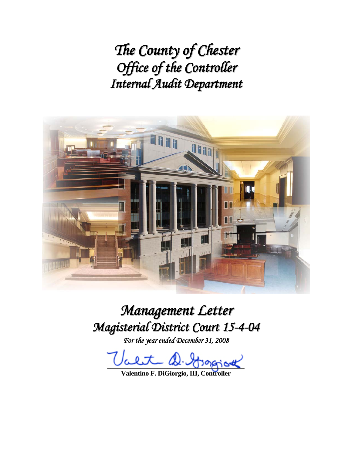*The County of Chester T Office of the Controller Internal Audit Department*



# *Magisterial District Court 15-4-04*

*For the year ended December 31, 2008* 

alet D. Hossia

**Valentino F. DiGiorgio, III, Controller**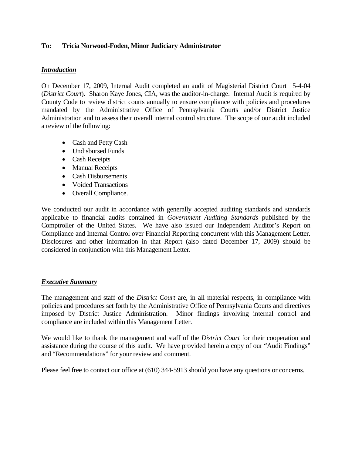## **To: Tricia Norwood-Foden, Minor Judiciary Administrator**

### *Introduction*

On December 17, 2009, Internal Audit completed an audit of Magisterial District Court 15-4-04 (*District Court*). Sharon Kaye Jones, CIA, was the auditor-in-charge. Internal Audit is required by County Code to review district courts annually to ensure compliance with policies and procedures mandated by the Administrative Office of Pennsylvania Courts and/or District Justice Administration and to assess their overall internal control structure. The scope of our audit included a review of the following:

- Cash and Petty Cash
- Undisbursed Funds
- Cash Receipts
- Manual Receipts
- Cash Disbursements
- Voided Transactions
- Overall Compliance.

We conducted our audit in accordance with generally accepted auditing standards and standards applicable to financial audits contained in *Government Auditing Standards* published by the Comptroller of the United States. We have also issued our Independent Auditor's Report on Compliance and Internal Control over Financial Reporting concurrent with this Management Letter. Disclosures and other information in that Report (also dated December 17, 2009) should be considered in conjunction with this Management Letter.

# *Executive Summary*

The management and staff of the *District Court* are, in all material respects, in compliance with policies and procedures set forth by the Administrative Office of Pennsylvania Courts and directives imposed by District Justice Administration. Minor findings involving internal control and compliance are included within this Management Letter.

We would like to thank the management and staff of the *District Court* for their cooperation and assistance during the course of this audit. We have provided herein a copy of our "Audit Findings" and "Recommendations" for your review and comment.

Please feel free to contact our office at (610) 344-5913 should you have any questions or concerns.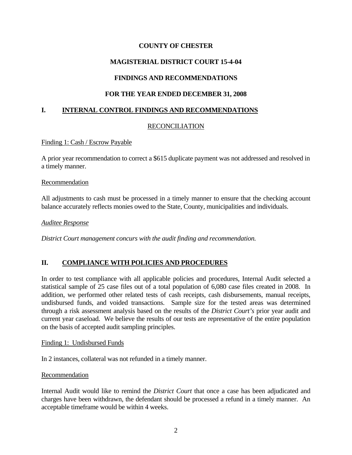# **COUNTY OF CHESTER**

# **MAGISTERIAL DISTRICT COURT 15-4-04**

# **FINDINGS AND RECOMMENDATIONS**

## **FOR THE YEAR ENDED DECEMBER 31, 2008**

## **I. INTERNAL CONTROL FINDINGS AND RECOMMENDATIONS**

## RECONCILIATION

#### Finding 1: Cash / Escrow Payable

A prior year recommendation to correct a \$615 duplicate payment was not addressed and resolved in a timely manner.

#### **Recommendation**

All adjustments to cash must be processed in a timely manner to ensure that the checking account balance accurately reflects monies owed to the State, County, municipalities and individuals.

#### *Auditee Response*

*District Court management concurs with the audit finding and recommendation.*

# **II. COMPLIANCE WITH POLICIES AND PROCEDURES**

In order to test compliance with all applicable policies and procedures, Internal Audit selected a statistical sample of 25 case files out of a total population of 6,080 case files created in 2008. In addition, we performed other related tests of cash receipts, cash disbursements, manual receipts, undisbursed funds, and voided transactions. Sample size for the tested areas was determined through a risk assessment analysis based on the results of the *District Court's* prior year audit and current year caseload. We believe the results of our tests are representative of the entire population on the basis of accepted audit sampling principles.

#### Finding 1: Undisbursed Funds

In 2 instances, collateral was not refunded in a timely manner.

#### Recommendation

Internal Audit would like to remind the *District Court* that once a case has been adjudicated and charges have been withdrawn, the defendant should be processed a refund in a timely manner. An acceptable timeframe would be within 4 weeks.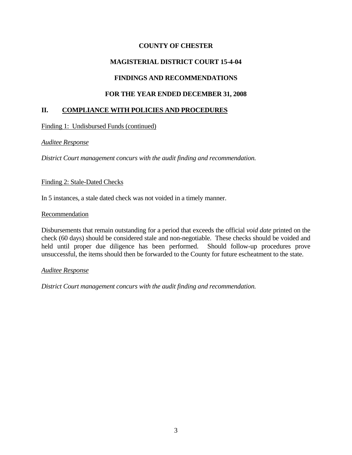# **COUNTY OF CHESTER**

# **MAGISTERIAL DISTRICT COURT 15-4-04**

# **FINDINGS AND RECOMMENDATIONS**

# **FOR THE YEAR ENDED DECEMBER 31, 2008**

# **II. COMPLIANCE WITH POLICIES AND PROCEDURES**

Finding 1: Undisbursed Funds (continued)

## *Auditee Response*

*District Court management concurs with the audit finding and recommendation.*

## Finding 2: Stale-Dated Checks

In 5 instances, a stale dated check was not voided in a timely manner.

#### Recommendation

Disbursements that remain outstanding for a period that exceeds the official *void date* printed on the check (60 days) should be considered stale and non-negotiable. These checks should be voided and held until proper due diligence has been performed. Should follow-up procedures prove unsuccessful, the items should then be forwarded to the County for future escheatment to the state.

#### *Auditee Response*

*District Court management concurs with the audit finding and recommendation.*